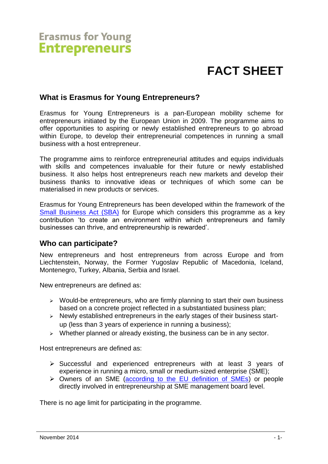# **Erasmus for Young Entrepreneurs**

# **FACT SHEET**

### **What is Erasmus for Young Entrepreneurs?**

Erasmus for Young Entrepreneurs is a pan-European mobility scheme for entrepreneurs initiated by the European Union in 2009. The programme aims to offer opportunities to aspiring or newly established entrepreneurs to go abroad within Europe, to develop their entrepreneurial competences in running a small business with a host entrepreneur.

The programme aims to reinforce entrepreneurial attitudes and equips individuals with skills and competences invaluable for their future or newly established business. It also helps host entrepreneurs reach new markets and develop their business thanks to innovative ideas or techniques of which some can be materialised in new products or services.

Erasmus for Young Entrepreneurs has been developed within the framework of the [Small Business Act \(SBA\)](http://ec.europa.eu/enterprise/policies/sme/small-business-act/) for Europe which considers this programme as a key contribution 'to create an environment within which entrepreneurs and family businesses can thrive, and entrepreneurship is rewarded'.

#### **Who can participate?**

New entrepreneurs and host entrepreneurs from across Europe and from Liechtenstein, Norway, the Former Yugoslav Republic of Macedonia, Iceland, Montenegro, Turkey, Albania, Serbia and Israel.

New entrepreneurs are defined as:

- $\triangleright$  Would-be entrepreneurs, who are firmly planning to start their own business based on a concrete project reflected in a substantiated business plan;
- $\triangleright$  Newly established entrepreneurs in the early stages of their business startup (less than 3 years of experience in running a business);
- $\triangleright$  Whether planned or already existing, the business can be in any sector.

Host entrepreneurs are defined as:

- $\triangleright$  Successful and experienced entrepreneurs with at least 3 years of experience in running a micro, small or medium-sized enterprise (SME);
- Owners of an SME [\(according to the EU definition of SMEs\)](http://ec.europa.eu/enterprise/policies/sme/facts-figures-analysis/sme-definition/index_en.htm) or people directly involved in entrepreneurship at SME management board level.

There is no age limit for participating in the programme.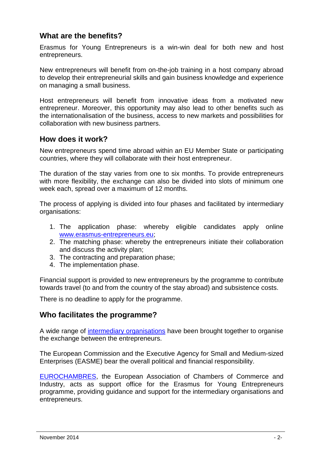# **What are the benefits?**

Erasmus for Young Entrepreneurs is a win-win deal for both new and host entrepreneurs.

New entrepreneurs will benefit from on-the-job training in a host company abroad to develop their entrepreneurial skills and gain business knowledge and experience on managing a small business.

Host entrepreneurs will benefit from innovative ideas from a motivated new entrepreneur. Moreover, this opportunity may also lead to other benefits such as the internationalisation of the business, access to new markets and possibilities for collaboration with new business partners.

#### **How does it work?**

New entrepreneurs spend time abroad within an EU Member State or participating countries, where they will collaborate with their host entrepreneur.

The duration of the stay varies from one to six months. To provide entrepreneurs with more flexibility, the exchange can also be divided into slots of minimum one week each, spread over a maximum of 12 months.

The process of applying is divided into four phases and facilitated by intermediary organisations:

- 1. The application phase: whereby eligible candidates apply online [www.erasmus-entrepreneurs.eu;](http://www.erasmus-entrepreneurs.eu/)
- 2. The matching phase: whereby the entrepreneurs initiate their collaboration and discuss the activity plan;
- 3. The contracting and preparation phase;
- 4. The implementation phase.

Financial support is provided to new entrepreneurs by the programme to contribute towards travel (to and from the country of the stay abroad) and subsistence costs.

There is no deadline to apply for the programme.

#### **Who facilitates the programme?**

A wide range of intermediary [organisations](http://www.erasmus-entrepreneurs.eu/page.php?cid=5#.VG3X0Gd0ymQ) have been brought together to organise the exchange between the entrepreneurs.

The European Commission and the Executive Agency for Small and Medium-sized Enterprises (EASME) bear the overall political and financial responsibility.

[EUROCHAMBRES,](http://www.eurochambres.eu/) the European Association of Chambers of Commerce and Industry, acts as support office for the Erasmus for Young Entrepreneurs programme, providing guidance and support for the intermediary organisations and entrepreneurs.